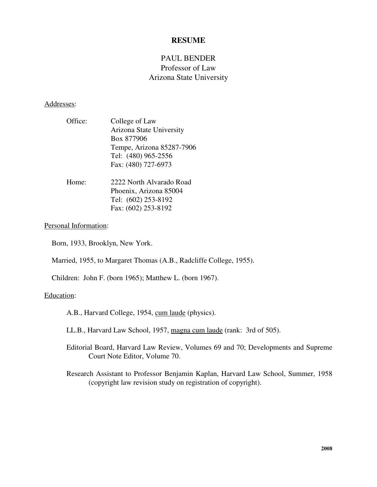# **RESUME**

# PAUL BENDER Professor of Law Arizona State University

### Addresses:

| Office:          | College of Law            |
|------------------|---------------------------|
|                  | Arizona State University  |
|                  | Box 877906                |
|                  | Tempe, Arizona 85287-7906 |
|                  | Tel: (480) 965-2556       |
|                  | Fax: (480) 727-6973       |
|                  |                           |
| $_{\text{Lama}}$ | 2222 North Alverado Dood  |

Home: 2222 North Alvarado Road Phoenix, Arizona 85004 Tel: (602) 253-8192 Fax: (602) 253-8192

## Personal Information:

Born, 1933, Brooklyn, New York.

Married, 1955, to Margaret Thomas (A.B., Radcliffe College, 1955).

Children: John F. (born 1965); Matthew L. (born 1967).

# Education:

A.B., Harvard College, 1954, cum laude (physics).

LL.B., Harvard Law School, 1957, magna cum laude (rank: 3rd of 505).

- Editorial Board, Harvard Law Review, Volumes 69 and 70; Developments and Supreme Court Note Editor, Volume 70.
- Research Assistant to Professor Benjamin Kaplan, Harvard Law School, Summer, 1958 (copyright law revision study on registration of copyright).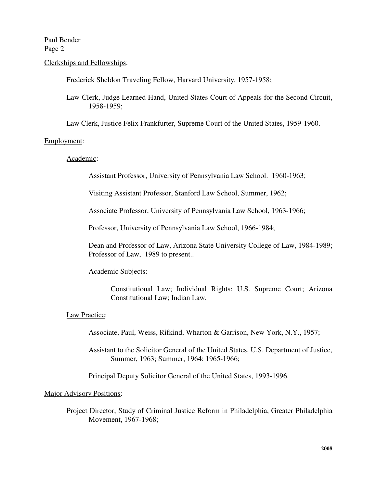### Clerkships and Fellowships:

Frederick Sheldon Traveling Fellow, Harvard University, 1957-1958;

Law Clerk, Judge Learned Hand, United States Court of Appeals for the Second Circuit, 1958-1959;

Law Clerk, Justice Felix Frankfurter, Supreme Court of the United States, 1959-1960.

#### Employment:

### Academic:

Assistant Professor, University of Pennsylvania Law School. 1960-1963;

Visiting Assistant Professor, Stanford Law School, Summer, 1962;

Associate Professor, University of Pennsylvania Law School, 1963-1966;

Professor, University of Pennsylvania Law School, 1966-1984;

Dean and Professor of Law, Arizona State University College of Law, 1984-1989; Professor of Law, 1989 to present..

#### Academic Subjects:

Constitutional Law; Individual Rights; U.S. Supreme Court; Arizona Constitutional Law; Indian Law.

## Law Practice:

Associate, Paul, Weiss, Rifkind, Wharton & Garrison, New York, N.Y., 1957;

Assistant to the Solicitor General of the United States, U.S. Department of Justice, Summer, 1963; Summer, 1964; 1965-1966;

Principal Deputy Solicitor General of the United States, 1993-1996.

#### Major Advisory Positions:

Project Director, Study of Criminal Justice Reform in Philadelphia, Greater Philadelphia Movement, 1967-1968;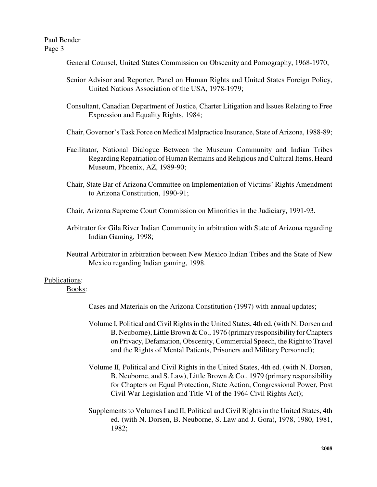General Counsel, United States Commission on Obscenity and Pornography, 1968-1970;

- Senior Advisor and Reporter, Panel on Human Rights and United States Foreign Policy, United Nations Association of the USA, 1978-1979;
- Consultant, Canadian Department of Justice, Charter Litigation and Issues Relating to Free Expression and Equality Rights, 1984;

Chair, Governor's Task Force on Medical Malpractice Insurance, State of Arizona, 1988-89;

- Facilitator, National Dialogue Between the Museum Community and Indian Tribes RegardingRepatriation of Human Remains and Religious and Cultural Items, Heard Museum, Phoenix, AZ, 1989-90;
- Chair, State Bar of Arizona Committee on Implementation of Victims' Rights Amendment to Arizona Constitution, 1990-91;
- Chair, Arizona Supreme Court Commission on Minorities in the Judiciary, 1991-93.
- Arbitrator for Gila River Indian Community in arbitration with State of Arizona regarding Indian Gaming, 1998;
- Neutral Arbitrator in arbitration between New Mexico Indian Tribes and the State of New Mexico regarding Indian gaming, 1998.

# Publications:

Books:

Cases and Materials on the Arizona Constitution (1997) with annual updates;

- Volume I, Political and Civil Rightsin the United States, 4th ed. (with N. Dorsen and B. Neuborne), Little Brown & Co., 1976 (primary responsibility for Chapters on Privacy, Defamation, Obscenity, Commercial Speech, the Right to Travel and the Rights of Mental Patients, Prisoners and Military Personnel);
- Volume II, Political and Civil Rights in the United States, 4th ed. (with N. Dorsen, B. Neuborne, and S. Law), Little Brown & Co., 1979 (primary responsibility for Chapters on Equal Protection, State Action, Congressional Power, Post Civil War Legislation and Title VI of the 1964 Civil Rights Act);
- Supplements to Volumes I and II, Political and Civil Rights in the United States, 4th ed. (with N. Dorsen, B. Neuborne, S. Law and J. Gora), 1978, 1980, 1981, 1982;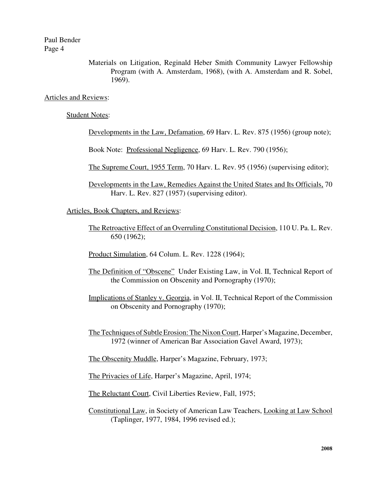> Materials on Litigation, Reginald Heber Smith Community Lawyer Fellowship Program (with A. Amsterdam, 1968), (with A. Amsterdam and R. Sobel, 1969).

### Articles and Reviews:

### Student Notes:

Developments in the Law, Defamation, 69 Harv. L. Rev. 875 (1956) (group note);

Book Note: Professional Negligence, 69 Harv. L. Rev. 790 (1956);

The Supreme Court, 1955 Term, 70 Harv. L. Rev. 95 (1956) (supervising editor);

Developments in the Law, Remedies Against the United States and Its Officials, 70 Harv. L. Rev. 827 (1957) (supervising editor).

Articles, Book Chapters, and Reviews:

The Retroactive Effect of an Overruling Constitutional Decision, 110 U. Pa. L. Rev. 650 (1962);

Product Simulation, 64 Colum. L. Rev. 1228 (1964);

- The Definition of "Obscene" Under Existing Law, in Vol. II, Technical Report of the Commission on Obscenity and Pornography (1970);
- Implications of Stanley v. Georgia, in Vol. II, Technical Report of the Commission on Obscenity and Pornography (1970);

The Techniques of Subtle Erosion: The Nixon Court, Harper's Magazine, December, 1972 (winner of American Bar Association Gavel Award, 1973);

The Obscenity Muddle, Harper's Magazine, February, 1973;

The Privacies of Life, Harper's Magazine, April, 1974;

The Reluctant Court, Civil Liberties Review, Fall, 1975;

Constitutional Law, in Society of American Law Teachers, Looking at Law School (Taplinger, 1977, 1984, 1996 revised ed.);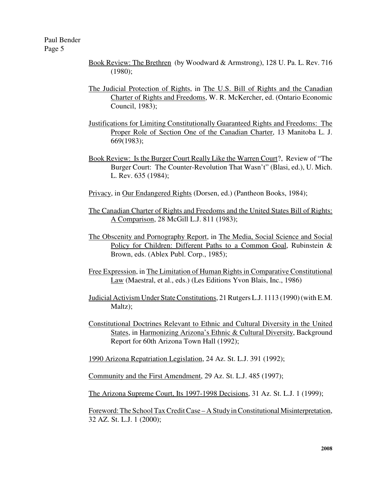- Book Review: The Brethren (by Woodward & Armstrong), 128 U. Pa. L. Rev. 716 (1980);
- The Judicial Protection of Rights, in The U.S. Bill of Rights and the Canadian Charter of Rights and Freedoms, W. R. McKercher, ed. (Ontario Economic Council, 1983);
- Justifications for Limiting Constitutionally Guaranteed Rights and Freedoms: The Proper Role of Section One of the Canadian Charter, 13 Manitoba L. J. 669(1983);
- Book Review: Is the Burger Court Really Like the Warren Court?, Review of "The Burger Court: The Counter-Revolution That Wasn't" (Blasi, ed.), U. Mich. L. Rev. 635 (1984);
- Privacy, in Our Endangered Rights (Dorsen, ed.) (Pantheon Books, 1984);
- The Canadian Charter of Rights and Freedoms and the United States Bill of Rights: A Comparison, 28 McGill L.J. 811 (1983);
- The Obscenity and Pornography Report, in The Media, Social Science and Social Policy for Children: Different Paths to a Common Goal, Rubinstein & Brown, eds. (Ablex Publ. Corp., 1985);
- Free Expression, in The Limitation of Human Rights in Comparative Constitutional Law (Maestral, et al., eds.) (Les Editions Yvon Blais, Inc., 1986)
- Judicial Activism Under StateConstitutions, 21Rutgers L.J. 1113 (1990)(with E.M. Maltz);
- Constitutional Doctrines Relevant to Ethnic and Cultural Diversity in the United States, in Harmonizing Arizona's Ethnic & Cultural Diversity, Background Report for 60th Arizona Town Hall (1992);

1990 Arizona Repatriation Legislation, 24 Az. St. L.J. 391 (1992);

Community and the First Amendment, 29 Az. St. L.J. 485 (1997);

The Arizona Supreme Court, Its 1997-1998 Decisions, 31 Az. St. L.J. 1 (1999);

Foreword: The School Tax Credit Case – A Study in Constitutional Misinterpretation, 32 AZ. St. L.J. 1 (2000);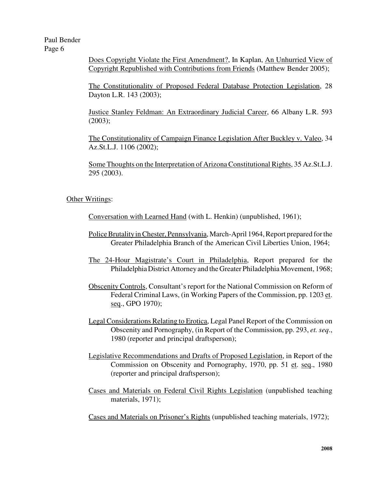> Does Copyright Violate the First Amendment?, In Kaplan, An Unhurried View of Copyright Republished with Contributions from Friends (Matthew Bender 2005);

> The Constitutionality of Proposed Federal Database Protection Legislation, 28 Dayton L.R. 143 (2003);

> Justice Stanley Feldman: An Extraordinary Judicial Career, 66 Albany L.R. 593 (2003);

> The Constitutionality of Campaign Finance Legislation After Buckley v. Valeo, 34 Az.St.L.J. 1106 (2002);

> Some Thoughts on the Interpretation of Arizona Constitutional Rights, 35 Az.St.L.J. 295 (2003).

# Other Writings:

Conversation with Learned Hand (with L. Henkin) (unpublished, 1961);

- Police Brutality in Chester, Pennsylvania, March-April 1964, Report prepared for the Greater Philadelphia Branch of the American Civil Liberties Union, 1964;
- The 24-Hour Magistrate's Court in Philadelphia, Report prepared for the Philadelphia District Attorney and the Greater Philadelphia Movement, 1968;
- Obscenity Controls, Consultant's report for the National Commission on Reform of Federal Criminal Laws, (in Working Papers of the Commission, pp. 1203 et. seq., GPO 1970);
- Legal Considerations Relating to Erotica, Legal Panel Report of the Commission on Obscenity and Pornography, (in Report of the Commission, pp. 293, *et. seq*., 1980 (reporter and principal draftsperson);
- Legislative Recommendations and Drafts of Proposed Legislation, in Report of the Commission on Obscenity and Pornography, 1970, pp. 51 et. seq., 1980 (reporter and principal draftsperson);
- Cases and Materials on Federal Civil Rights Legislation (unpublished teaching materials, 1971);

Cases and Materials on Prisoner's Rights (unpublished teaching materials, 1972);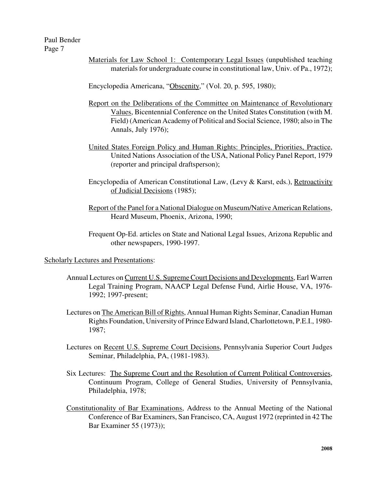Materials for Law School 1: Contemporary Legal Issues (unpublished teaching materials for undergraduate course in constitutional law, Univ. of Pa., 1972);

Encyclopedia Americana, "Obscenity," (Vol. 20, p. 595, 1980);

- Report on the Deliberations of the Committee on Maintenance of Revolutionary Values, Bicentennial Conference on the United States Constitution (with M. Field) (American Academy of Political and Social Science, 1980; also in The Annals, July 1976);
- United States Foreign Policy and Human Rights: Principles, Priorities, Practice, United Nations Association of the USA, National Policy Panel Report, 1979 (reporter and principal draftsperson);
- Encyclopedia of American Constitutional Law, (Levy & Karst, eds.), Retroactivity of Judicial Decisions (1985);
- Report of the Panel for a National Dialogue on Museum/Native American Relations, Heard Museum, Phoenix, Arizona, 1990;
- Frequent Op-Ed. articles on State and National Legal Issues, Arizona Republic and other newspapers, 1990-1997.

Scholarly Lectures and Presentations:

- Annual Lectures on Current U.S. Supreme Court Decisions and Developments, Earl Warren Legal Training Program, NAACP Legal Defense Fund, Airlie House, VA, 1976- 1992; 1997-present;
- Lectures on The American Bill of Rights, Annual Human Rights Seminar, Canadian Human Rights Foundation, University of Prince Edward Island,Charlottetown, P.E.I., 1980- 1987;
- Lectures on Recent U.S. Supreme Court Decisions, Pennsylvania Superior Court Judges Seminar, Philadelphia, PA, (1981-1983).
- Six Lectures: The Supreme Court and the Resolution of Current Political Controversies, Continuum Program, College of General Studies, University of Pennsylvania, Philadelphia, 1978;
- Constitutionality of Bar Examinations, Address to the Annual Meeting of the National Conference of Bar Examiners, San Francisco, CA, August 1972 (reprinted in 42 The Bar Examiner 55 (1973));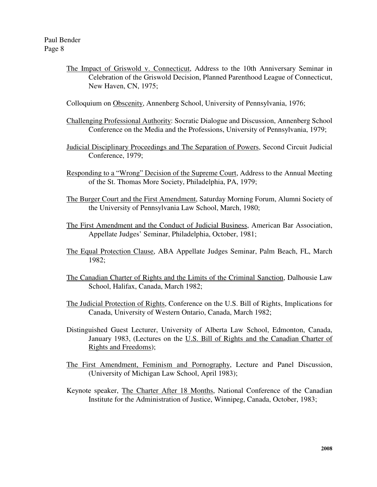The Impact of Griswold v. Connecticut, Address to the 10th Anniversary Seminar in Celebration of the Griswold Decision, Planned Parenthood League of Connecticut, New Haven, CN, 1975;

Colloquium on Obscenity, Annenberg School, University of Pennsylvania, 1976;

- Challenging Professional Authority: Socratic Dialogue and Discussion, Annenberg School Conference on the Media and the Professions, University of Pennsylvania, 1979;
- Judicial Disciplinary Proceedings and The Separation of Powers, Second Circuit Judicial Conference, 1979;
- Responding to a "Wrong" Decision of the Supreme Court, Address to the Annual Meeting of the St. Thomas More Society, Philadelphia, PA, 1979;
- The Burger Court and the First Amendment, Saturday Morning Forum, Alumni Society of the University of Pennsylvania Law School, March, 1980;
- The First Amendment and the Conduct of Judicial Business, American Bar Association, Appellate Judges' Seminar, Philadelphia, October, 1981;
- The Equal Protection Clause, ABA Appellate Judges Seminar, Palm Beach, FL, March 1982;
- The Canadian Charter of Rights and the Limits of the Criminal Sanction, Dalhousie Law School, Halifax, Canada, March 1982;
- The Judicial Protection of Rights, Conference on the U.S. Bill of Rights, Implications for Canada, University of Western Ontario, Canada, March 1982;
- Distinguished Guest Lecturer, University of Alberta Law School, Edmonton, Canada, January 1983, (Lectures on the U.S. Bill of Rights and the Canadian Charter of Rights and Freedoms);
- The First Amendment, Feminism and Pornography, Lecture and Panel Discussion, (University of Michigan Law School, April 1983);
- Keynote speaker, The Charter After 18 Months, National Conference of the Canadian Institute for the Administration of Justice, Winnipeg, Canada, October, 1983;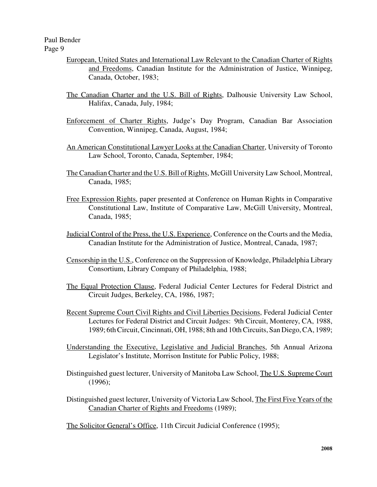Paul Bender

Page 9

- European, United States and International Law Relevant to the Canadian Charter of Rights and Freedoms, Canadian Institute for the Administration of Justice, Winnipeg, Canada, October, 1983;
- The Canadian Charter and the U.S. Bill of Rights, Dalhousie University Law School, Halifax, Canada, July, 1984;
- Enforcement of Charter Rights, Judge's Day Program, Canadian Bar Association Convention, Winnipeg, Canada, August, 1984;
- An American Constitutional Lawyer Looks at the Canadian Charter, University of Toronto Law School, Toronto, Canada, September, 1984;
- The Canadian Charter and the U.S. Bill of Rights, McGill UniversityLaw School, Montreal, Canada, 1985;
- Free Expression Rights, paper presented at Conference on Human Rights in Comparative Constitutional Law, Institute of Comparative Law, McGill University, Montreal, Canada, 1985;
- Judicial Control of the Press, the U.S. Experience, Conference on the Courts and the Media, Canadian Institute for the Administration of Justice, Montreal, Canada, 1987;
- Censorship in the U.S., Conference on the Suppression of Knowledge, Philadelphia Library Consortium, Library Company of Philadelphia, 1988;
- The Equal Protection Clause, Federal Judicial Center Lectures for Federal District and Circuit Judges, Berkeley, CA, 1986, 1987;
- Recent Supreme Court Civil Rights and Civil Liberties Decisions, Federal Judicial Center Lectures for Federal District and Circuit Judges: 9th Circuit, Monterey, CA, 1988, 1989; 6thCircuit,Cincinnati, OH, 1988; 8th and 10thCircuits, San Diego,CA, 1989;
- Understanding the Executive, Legislative and Judicial Branches, 5th Annual Arizona Legislator's Institute, Morrison Institute for Public Policy, 1988;
- Distinguished guest lecturer, University of Manitoba Law School, The U.S. Supreme Court (1996);
- Distinguished guest lecturer, University of Victoria Law School, The First Five Years of the Canadian Charter of Rights and Freedoms (1989);

The Solicitor General's Office, 11th Circuit Judicial Conference (1995);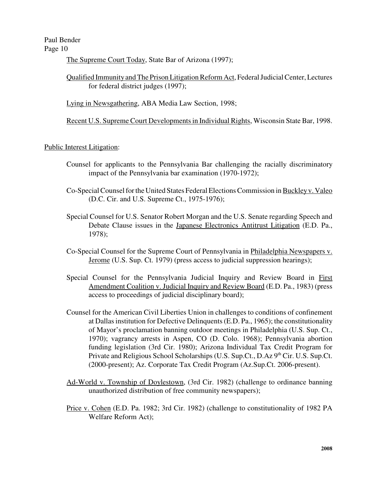The Supreme Court Today, State Bar of Arizona (1997);

Qualified ImmunityandThe Prison LitigationReform Act, FederalJudicialCenter,Lectures for federal district judges (1997);

Lying in Newsgathering, ABA Media Law Section, 1998;

Recent U.S. Supreme Court Developmentsin Individual Rights, Wisconsin State Bar, 1998.

Public Interest Litigation:

- Counsel for applicants to the Pennsylvania Bar challenging the racially discriminatory impact of the Pennsylvania bar examination (1970-1972);
- Co-SpecialCounselforthe United States Federal ElectionsCommission inBuckleyv. Valeo (D.C. Cir. and U.S. Supreme Ct., 1975-1976);
- Special Counsel for U.S. Senator Robert Morgan and the U.S. Senate regarding Speech and Debate Clause issues in the Japanese Electronics Antitrust Litigation (E.D. Pa., 1978);
- Co-Special Counsel for the Supreme Court of Pennsylvania in Philadelphia Newspapers v. Jerome (U.S. Sup. Ct. 1979) (press access to judicial suppression hearings);
- Special Counsel for the Pennsylvania Judicial Inquiry and Review Board in First Amendment Coalition v. Judicial Inquiry and Review Board (E.D. Pa., 1983) (press access to proceedings of judicial disciplinary board);
- Counsel for the American Civil Liberties Union in challenges to conditions of confinement at Dallas institution for Defective Delinquents (E.D. Pa., 1965); the constitutionality of Mayor's proclamation banning outdoor meetings in Philadelphia (U.S. Sup. Ct., 1970); vagrancy arrests in Aspen, CO (D. Colo. 1968); Pennsylvania abortion funding legislation (3rd Cir. 1980); Arizona Individual Tax Credit Program for Private and Religious School Scholarships (U.S. Sup.Ct., D.Az 9<sup>th</sup> Cir. U.S. Sup.Ct. (2000-present); Az. Corporate Tax Credit Program (Az.Sup.Ct. 2006-present).
- Ad-World v. Township of Doylestown, (3rd Cir. 1982) (challenge to ordinance banning unauthorized distribution of free community newspapers);
- Price v. Cohen (E.D. Pa. 1982; 3rd Cir. 1982) (challenge to constitutionality of 1982 PA Welfare Reform Act);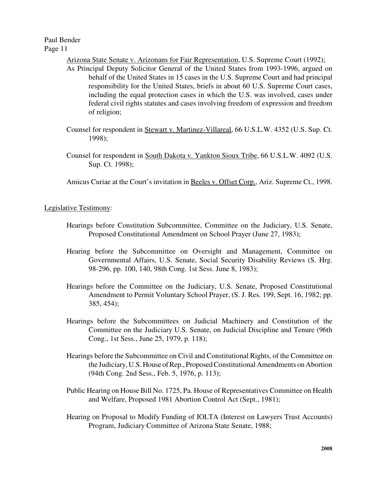Arizona State Senate v. Arizonans for Fair Representation, U.S. Supreme Court (1992);

- As Principal Deputy Solicitor General of the United States from 1993-1996, argued on behalf of the United States in 15 cases in the U.S. Supreme Court and had principal responsibility for the United States, briefs in about 60 U.S. Supreme Court cases, including the equal protection cases in which the U.S. was involved, cases under federal civil rights statutes and cases involving freedom of expression and freedom of religion;
- Counsel for respondent in Stewart v. Martinez-Villareal, 66 U.S.L.W. 4352 (U.S. Sup. Ct. 1998);
- Counsel for respondent in South Dakota v. Yankton Sioux Tribe, 66 U.S.L.W. 4092 (U.S. Sup. Ct. 1998);

Amicus Curiae at the Court's invitation in Beeles v. Offset Corp., Ariz. Supreme Ct., 1998.

Legislative Testimony:

- Hearings before Constitution Subcommittee, Committee on the Judiciary, U.S. Senate, Proposed Constitutional Amendment on School Prayer (June 27, 1983);
- Hearing before the Subcommittee on Oversight and Management, Committee on Governmental Affairs, U.S. Senate, Social Security Disability Reviews (S. Hrg. 98-296, pp. 100, 140, 98th Cong. 1st Sess. June 8, 1983);
- Hearings before the Committee on the Judiciary, U.S. Senate, Proposed Constitutional Amendment to Permit Voluntary School Prayer, (S. J. Res. 199, Sept. 16, 1982; pp. 385, 454);
- Hearings before the Subcommittees on Judicial Machinery and Constitution of the Committee on the Judiciary U.S. Senate, on Judicial Discipline and Tenure (96th Cong., 1st Sess., June 25, 1979, p. 118);
- Hearings before the Subcommittee on Civil and Constitutional Rights, of the Committee on the Judiciary, U.S. House of Rep., Proposed Constitutional Amendments on Abortion (94th Cong. 2nd Sess., Feb. 5, 1976, p. 113);
- Public Hearing on House Bill No. 1725, Pa. House of Representatives Committee on Health and Welfare, Proposed 1981 Abortion Control Act (Sept., 1981);
- Hearing on Proposal to Modify Funding of IOLTA (Interest on Lawyers Trust Accounts) Program, Judiciary Committee of Arizona State Senate, 1988;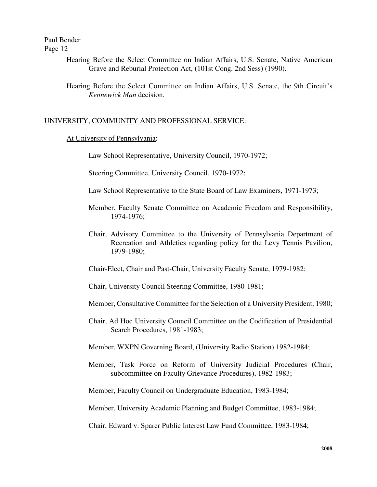> Hearing Before the Select Committee on Indian Affairs, U.S. Senate, Native American Grave and Reburial Protection Act, (101st Cong. 2nd Sess) (1990).

> Hearing Before the Select Committee on Indian Affairs, U.S. Senate, the 9th Circuit's *Kennewick Man* decision.

## UNIVERSITY, COMMUNITY AND PROFESSIONAL SERVICE:

#### At University of Pennsylvania:

Law School Representative, University Council, 1970-1972;

Steering Committee, University Council, 1970-1972;

- Law School Representative to the State Board of Law Examiners, 1971-1973;
- Member, Faculty Senate Committee on Academic Freedom and Responsibility, 1974-1976;
- Chair, Advisory Committee to the University of Pennsylvania Department of Recreation and Athletics regarding policy for the Levy Tennis Pavilion, 1979-1980;

Chair-Elect, Chair and Past-Chair, University Faculty Senate, 1979-1982;

Chair, University Council Steering Committee, 1980-1981;

Member, Consultative Committee for the Selection of a University President, 1980;

- Chair, Ad Hoc University Council Committee on the Codification of Presidential Search Procedures, 1981-1983;
- Member, WXPN Governing Board, (University Radio Station) 1982-1984;
- Member, Task Force on Reform of University Judicial Procedures (Chair, subcommittee on Faculty Grievance Procedures), 1982-1983;

Member, Faculty Council on Undergraduate Education, 1983-1984;

Member, University Academic Planning and Budget Committee, 1983-1984;

Chair, Edward v. Sparer Public Interest Law Fund Committee, 1983-1984;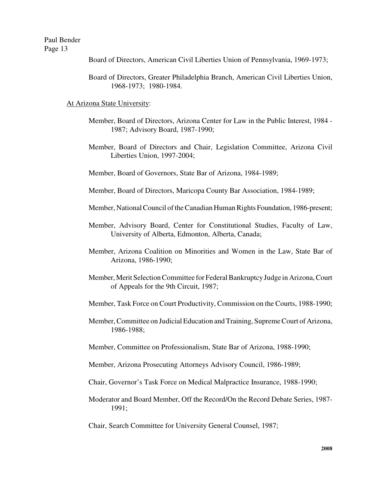- Board of Directors, American Civil Liberties Union of Pennsylvania, 1969-1973;
- Board of Directors, Greater Philadelphia Branch, American Civil Liberties Union, 1968-1973; 1980-1984.

#### At Arizona State University:

- Member, Board of Directors, Arizona Center for Law in the Public Interest, 1984 1987; Advisory Board, 1987-1990;
- Member, Board of Directors and Chair, Legislation Committee, Arizona Civil Liberties Union, 1997-2004;
- Member, Board of Governors, State Bar of Arizona, 1984-1989;
- Member, Board of Directors, Maricopa County Bar Association, 1984-1989;
- Member, National Council of the Canadian Human Rights Foundation, 1986-present;
- Member, Advisory Board, Center for Constitutional Studies, Faculty of Law, University of Alberta, Edmonton, Alberta, Canada;
- Member, Arizona Coalition on Minorities and Women in the Law, State Bar of Arizona, 1986-1990;
- Member, Merit Selection Committee for Federal Bankruptcy Judge in Arizona, Court of Appeals for the 9th Circuit, 1987;
- Member, Task Force on Court Productivity, Commission on the Courts, 1988-1990;
- Member, Committee on Judicial Education and Training, Supreme Court of Arizona, 1986-1988;
- Member, Committee on Professionalism, State Bar of Arizona, 1988-1990;
- Member, Arizona Prosecuting Attorneys Advisory Council, 1986-1989;
- Chair, Governor's Task Force on Medical Malpractice Insurance, 1988-1990;
- Moderator and Board Member, Off the Record/On the Record Debate Series, 1987- 1991;
- Chair, Search Committee for University General Counsel, 1987;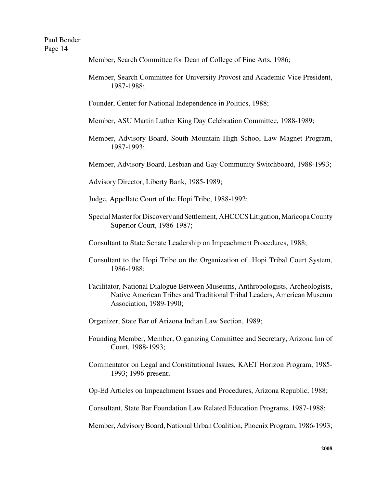Member, Search Committee for Dean of College of Fine Arts, 1986;

Member, Search Committee for University Provost and Academic Vice President, 1987-1988;

Founder, Center for National Independence in Politics, 1988;

Member, ASU Martin Luther King Day Celebration Committee, 1988-1989;

Member, Advisory Board, South Mountain High School Law Magnet Program, 1987-1993;

Member, Advisory Board, Lesbian and Gay Community Switchboard, 1988-1993;

Advisory Director, Liberty Bank, 1985-1989;

Judge, Appellate Court of the Hopi Tribe, 1988-1992;

Special MasterforDiscoveryand Settlement, AHCCCS Litigation, MaricopaCounty Superior Court, 1986-1987;

Consultant to State Senate Leadership on Impeachment Procedures, 1988;

- Consultant to the Hopi Tribe on the Organization of Hopi Tribal Court System, 1986-1988;
- Facilitator, National Dialogue Between Museums, Anthropologists, Archeologists, Native American Tribes and Traditional Tribal Leaders, American Museum Association, 1989-1990;
- Organizer, State Bar of Arizona Indian Law Section, 1989;
- Founding Member, Member, Organizing Committee and Secretary, Arizona Inn of Court, 1988-1993;
- Commentator on Legal and Constitutional Issues, KAET Horizon Program, 1985- 1993; 1996-present;
- Op-Ed Articles on Impeachment Issues and Procedures, Arizona Republic, 1988;

Consultant, State Bar Foundation Law Related Education Programs, 1987-1988;

Member, Advisory Board, National Urban Coalition, Phoenix Program, 1986-1993;